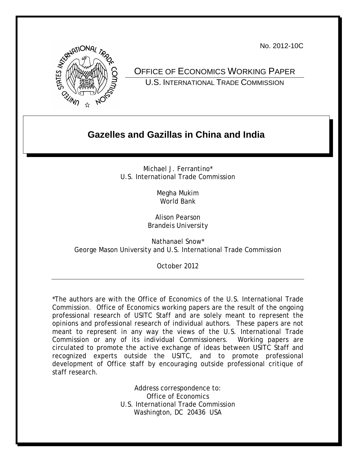No. 2012-10C



OFFICE OF ECONOMICS WORKING PAPER U.S. INTERNATIONAL TRADE COMMISSION

# **Gazelles and Gazillas in China and India**

Michael J. Ferrantino\* U.S. International Trade Commission

> Megha Mukim World Bank

Alison Pearson Brandeis University

Nathanael Snow\* George Mason University and U.S. International Trade Commission

October 2012

\*The authors are with the Office of Economics of the U.S. International Trade Commission. Office of Economics working papers are the result of the ongoing professional research of USITC Staff and are solely meant to represent the opinions and professional research of individual authors. These papers are not meant to represent in any way the views of the U.S. International Trade Commission or any of its individual Commissioners. Working papers are circulated to promote the active exchange of ideas between USITC Staff and recognized experts outside the USITC, and to promote professional development of Office staff by encouraging outside professional critique of staff research.

> Address correspondence to: Office of Economics U.S. International Trade Commission Washington, DC 20436 USA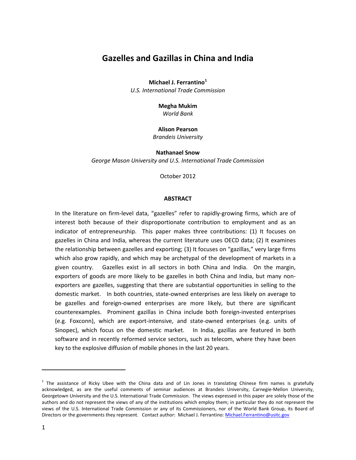# **Gazelles and Gazillas in China and India**

**Michael J. Ferrantino[1](#page-1-0)**

*U.S. International Trade Commission*

**Megha Mukim** *World Bank*

**Alison Pearson** *Brandeis University*

**Nathanael Snow** *George Mason University and U.S. International Trade Commission*

October 2012

#### **ABSTRACT**

In the literature on firm-level data, "gazelles" refer to rapidly-growing firms, which are of interest both because of their disproportionate contribution to employment and as an indicator of entrepreneurship. This paper makes three contributions: (1) It focuses on gazelles in China and India, whereas the current literature uses OECD data; (2) It examines the relationship between gazelles and exporting; (3) It focuses on "gazillas," very large firms which also grow rapidly, and which may be archetypal of the development of markets in a given country. Gazelles exist in all sectors in both China and India. On the margin, exporters of goods are more likely to be gazelles in both China and India, but many nonexporters are gazelles, suggesting that there are substantial opportunities in selling to the domestic market. In both countries, state-owned enterprises are less likely on average to be gazelles and foreign-owned enterprises are more likely, but there are significant counterexamples. Prominent gazillas in China include both foreign-invested enterprises (e.g. Foxconn), which are export-intensive, and state-owned enterprises (e.g. units of Sinopec), which focus on the domestic market. In India, gazillas are featured in both software and in recently reformed service sectors, such as telecom, where they have been key to the explosive diffusion of mobile phones in the last 20 years.

l

<span id="page-1-0"></span> $1$  The assistance of Ricky Ubee with the China data and of Lin Jones in translating Chinese firm names is gratefully acknowledged, as are the useful comments of seminar audiences at Brandeis University, Carnegie-Mellon University, Georgetown University and the U.S. International Trade Commission. The views expressed in this paper are solely those of the authors and do not represent the views of any of the institutions which employ them; in particular they do not represent the views of the U.S. International Trade Commission or any of its Commissioners, nor of the World Bank Group, its Board of Directors or the governments they represent. Contact author: Michael J. Ferrantino[: Michael.Ferrantino@usitc.gov](mailto:Michael.Ferrantino@usitc.gov)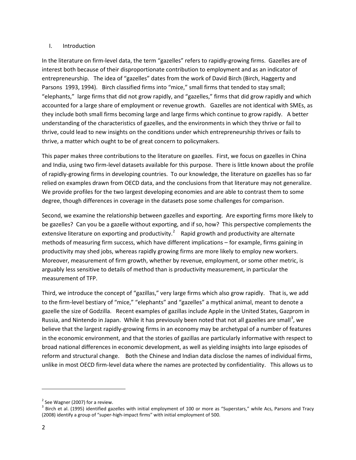## I. Introduction

In the literature on firm-level data, the term "gazelles" refers to rapidly-growing firms. Gazelles are of interest both because of their disproportionate contribution to employment and as an indicator of entrepreneurship. The idea of "gazelles" dates from the work of David Birch (Birch, Haggerty and Parsons 1993, 1994). Birch classified firms into "mice," small firms that tended to stay small; "elephants," large firms that did not grow rapidly, and "gazelles," firms that did grow rapidly and which accounted for a large share of employment or revenue growth. Gazelles are not identical with SMEs, as they include both small firms becoming large and large firms which continue to grow rapidly. A better understanding of the characteristics of gazelles, and the environments in which they thrive or fail to thrive, could lead to new insights on the conditions under which entrepreneurship thrives or fails to thrive, a matter which ought to be of great concern to policymakers.

This paper makes three contributions to the literature on gazelles. First, we focus on gazelles in China and India, using two firm-level datasets available for this purpose. There is little known about the profile of rapidly-growing firms in developing countries. To our knowledge, the literature on gazelles has so far relied on examples drawn from OECD data, and the conclusions from that literature may not generalize. We provide profiles for the two largest developing economies and are able to contrast them to some degree, though differences in coverage in the datasets pose some challenges for comparison.

Second, we examine the relationship between gazelles and exporting. Are exporting firms more likely to be gazelles? Can you be a gazelle without exporting, and if so, how? This perspective complements the extensive literature on exporting and productivity. $^2$  $^2$  Rapid growth and productivity are alternate methods of measuring firm success, which have different implications – for example, firms gaining in productivity may shed jobs, whereas rapidly growing firms are more likely to employ new workers. Moreover, measurement of firm growth, whether by revenue, employment, or some other metric, is arguably less sensitive to details of method than is productivity measurement, in particular the measurement of TFP.

Third, we introduce the concept of "gazillas," very large firms which also grow rapidly. That is, we add to the firm-level bestiary of "mice," "elephants" and "gazelles" a mythical animal, meant to denote a gazelle the size of Godzilla. Recent examples of gazillas include Apple in the United States, Gazprom in Russia, and Nintendo in Japan. While it has previously been noted that not all gazelles are small<sup>[3](#page-2-1)</sup>, we believe that the largest rapidly-growing firms in an economy may be archetypal of a number of features in the economic environment, and that the stories of gazillas are particularly informative with respect to broad national differences in economic development, as well as yielding insights into large episodes of reform and structural change. Both the Chinese and Indian data disclose the names of individual firms, unlike in most OECD firm-level data where the names are protected by confidentiality. This allows us to

l

<span id="page-2-0"></span> $2$  See Wagner (2007) for a review.

<span id="page-2-1"></span> $3$  Birch et al. (1995) identified gazelles with initial employment of 100 or more as "Superstars," while Acs, Parsons and Tracy (2008) identify a group of "super-high-impact firms" with initial employment of 500.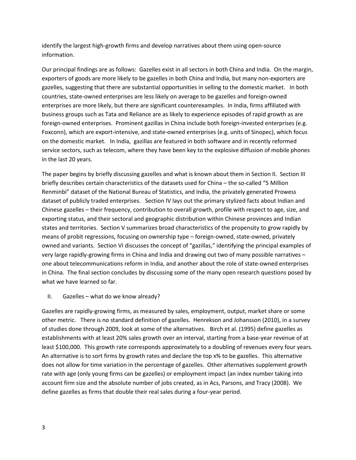identify the largest high-growth firms and develop narratives about them using open-source information.

Our principal findings are as follows: Gazelles exist in all sectors in both China and India. On the margin, exporters of goods are more likely to be gazelles in both China and India, but many non-exporters are gazelles, suggesting that there are substantial opportunities in selling to the domestic market. In both countries, state-owned enterprises are less likely on average to be gazelles and foreign-owned enterprises are more likely, but there are significant counterexamples. In India, firms affiliated with business groups such as Tata and Reliance are as likely to experience episodes of rapid growth as are foreign-owned enterprises. Prominent gazillas in China include both foreign-invested enterprises (e.g. Foxconn), which are export-intensive, and state-owned enterprises (e.g. units of Sinopec), which focus on the domestic market. In India, gazillas are featured in both software and in recently reformed service sectors, such as telecom, where they have been key to the explosive diffusion of mobile phones in the last 20 years.

The paper begins by briefly discussing gazelles and what is known about them in Section II. Section III briefly describes certain characteristics of the datasets used for China – the so-called "5 Million Renminbi" dataset of the National Bureau of Statistics, and India, the privately generated Prowess dataset of publicly traded enterprises. Section IV lays out the primary stylized facts about Indian and Chinese gazelles – their frequency, contribution to overall growth, profile with respect to age, size, and exporting status, and their sectoral and geographic distribution within Chinese provinces and Indian states and territories. Section V summarizes broad characteristics of the propensity to grow rapidly by means of probit regressions, focusing on ownership type – foreign-owned, state-owned, privately owned and variants. Section VI discusses the concept of "gazillas," identifying the principal examples of very large rapidly-growing firms in China and India and drawing out two of many possible narratives – one about telecommunications reform in India, and another about the role of state-owned enterprises in China. The final section concludes by discussing some of the many open research questions posed by what we have learned so far.

#### II. Gazelles – what do we know already?

Gazelles are rapidly-growing firms, as measured by sales, employment, output, market share or some other metric. There is no standard definition of gazelles. Henrekson and Johansson (2010), in a survey of studies done through 2009, look at some of the alternatives. Birch et al. (1995) define gazelles as establishments with at least 20% sales growth over an interval, starting from a base-year revenue of at least \$100,000. This growth rate corresponds approximately to a doubling of revenues every four years. An alternative is to sort firms by growth rates and declare the top x% to be gazelles. This alternative does not allow for time variation in the percentage of gazelles. Other alternatives supplement growth rate with age (only young firms can be gazelles) or employment impact (an index number taking into account firm size and the absolute number of jobs created, as in Acs, Parsons, and Tracy (2008). We define gazelles as firms that double their real sales during a four-year period.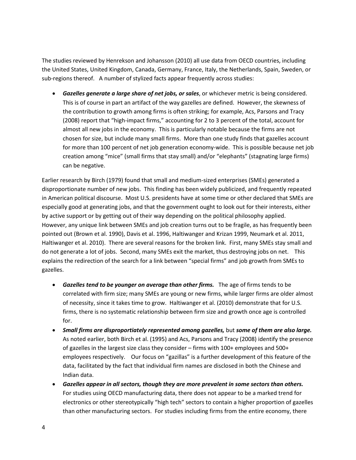The studies reviewed by Henrekson and Johansson (2010) all use data from OECD countries, including the United States, United Kingdom, Canada, Germany, France, Italy, the Netherlands, Spain, Sweden, or sub-regions thereof. A number of stylized facts appear frequently across studies:

• *Gazelles generate a large share of net jobs, or sales*, or whichever metric is being considered. This is of course in part an artifact of the way gazelles are defined. However, the skewness of the contribution to growth among firms is often striking; for example, Acs, Parsons and Tracy (2008) report that "high-impact firms," accounting for 2 to 3 percent of the total, account for almost all new jobs in the economy. This is particularly notable because the firms are not chosen for size, but include many small firms. More than one study finds that gazelles account for more than 100 percent of net job generation economy-wide. This is possible because net job creation among "mice" (small firms that stay small) and/or "elephants" (stagnating large firms) can be negative.

Earlier research by Birch (1979) found that small and medium-sized enterprises (SMEs) generated a disproportionate number of new jobs. This finding has been widely publicized, and frequently repeated in American political discourse. Most U.S. presidents have at some time or other declared that SMEs are especially good at generating jobs, and that the government ought to look out for their interests, either by active support or by getting out of their way depending on the political philosophy applied. However, any unique link between SMEs and job creation turns out to be fragile, as has frequently been pointed out (Brown et al. 1990), Davis et al. 1996, Haltiwanger and Krizan 1999, Neumark et al. 2011, Haltiwanger et al. 2010). There are several reasons for the broken link. First, many SMEs stay small and do not generate a lot of jobs. Second, many SMEs exit the market, thus destroying jobs on net. This explains the redirection of the search for a link between "special firms" and job growth from SMEs to gazelles.

- *Gazelles tend to be younger on average than other firms.* The age of firms tends to be correlated with firm size; many SMEs are young or new firms, while larger firms are older almost of necessity, since it takes time to grow. Haltiwanger et al. (2010) demonstrate that for U.S. firms, there is no systematic relationship between firm size and growth once age is controlled for.
- *Small firms are disproportiately represented among gazelles,* but *some of them are also large.* As noted earlier, both Birch et al. (1995) and Acs, Parsons and Tracy (2008) identify the presence of gazelles in the largest size class they consider – firms with 100+ employees and 500+ employees respectively. Our focus on "gazillas" is a further development of this feature of the data, facilitated by the fact that individual firm names are disclosed in both the Chinese and Indian data.
- *Gazelles appear in all sectors, though they are more prevalent in some sectors than others.* For studies using OECD manufacturing data, there does not appear to be a marked trend for electronics or other stereotypically "high tech" sectors to contain a higher proportion of gazelles than other manufacturing sectors. For studies including firms from the entire economy, there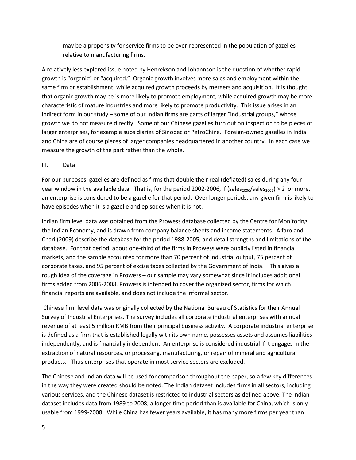may be a propensity for service firms to be over-represented in the population of gazelles relative to manufacturing firms.

A relatively less explored issue noted by Henrekson and Johannson is the question of whether rapid growth is "organic" or "acquired." Organic growth involves more sales and employment within the same firm or establishment, while acquired growth proceeds by mergers and acquisition. It is thought that organic growth may be is more likely to promote employment, while acquired growth may be more characteristic of mature industries and more likely to promote productivity. This issue arises in an indirect form in our study – some of our Indian firms are parts of larger "industrial groups," whose growth we do not measure directly. Some of our Chinese gazelles turn out on inspection to be pieces of larger enterprises, for example subsidiaries of Sinopec or PetroChina. Foreign-owned gazelles in India and China are of course pieces of larger companies headquartered in another country. In each case we measure the growth of the part rather than the whole.

## III. Data

For our purposes, gazelles are defined as firms that double their real (deflated) sales during any fouryear window in the available data. That is, for the period 2002-2006, if (sales<sub>2006</sub>/sales<sub>2002</sub>) > 2 or more, an enterprise is considered to be a gazelle for that period. Over longer periods, any given firm is likely to have episodes when it is a gazelle and episodes when it is not.

Indian firm level data was obtained from the Prowess database collected by the Centre for Monitoring the Indian Economy, and is drawn from company balance sheets and income statements. Alfaro and Chari (2009) describe the database for the period 1988-2005, and detail strengths and limitations of the database. For that period, about one-third of the firms in Prowess were publicly listed in financial markets, and the sample accounted for more than 70 percent of industrial output, 75 percent of corporate taxes, and 95 percent of excise taxes collected by the Government of India. This gives a rough idea of the coverage in Prowess – our sample may vary somewhat since it includes additional firms added from 2006-2008. Prowess is intended to cover the organized sector, firms for which financial reports are available, and does not include the informal sector.

Chinese firm level data was originally collected by the National Bureau of Statistics for their Annual Survey of Industrial Enterprises. The survey includes all corporate industrial enterprises with annual revenue of at least 5 million RMB from their principal business activity. A corporate industrial enterprise is defined as a firm that is established legally with its own name, possesses assets and assumes liabilities independently, and is financially independent. An enterprise is considered industrial if it engages in the extraction of natural resources, or processing, manufacturing, or repair of mineral and agricultural products. Thus enterprises that operate in most service sectors are excluded.

The Chinese and Indian data will be used for comparison throughout the paper, so a few key differences in the way they were created should be noted. The Indian dataset includes firms in all sectors, including various services, and the Chinese dataset is restricted to industrial sectors as defined above. The Indian dataset includes data from 1989 to 2008, a longer time period than is available for China, which is only usable from 1999-2008. While China has fewer years available, it has many more firms per year than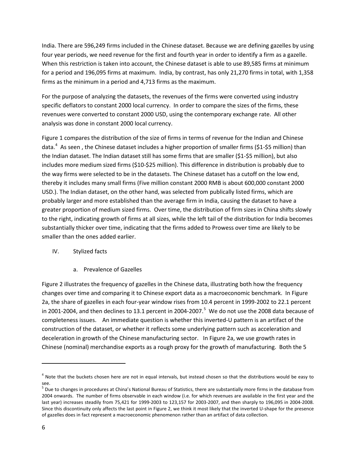India. There are 596,249 firms included in the Chinese dataset. Because we are defining gazelles by using four year periods, we need revenue for the first and fourth year in order to identify a firm as a gazelle. When this restriction is taken into account, the Chinese dataset is able to use 89,585 firms at minimum for a period and 196,095 firms at maximum. India, by contrast, has only 21,270 firms in total, with 1,358 firms as the minimum in a period and 4,713 firms as the maximum.

For the purpose of analyzing the datasets, the revenues of the firms were converted using industry specific deflators to constant 2000 local currency. In order to compare the sizes of the firms, these revenues were converted to constant 2000 USD, using the contemporary exchange rate. All other analysis was done in constant 2000 local currency.

Figure 1 compares the distribution of the size of firms in terms of revenue for the Indian and Chinese data.<sup>[4](#page-6-0)</sup> As seen , the Chinese dataset includes a higher proportion of smaller firms (\$1-\$5 million) than the Indian dataset. The Indian dataset still has some firms that are smaller (\$1-\$5 million), but also includes more medium sized firms (\$10-\$25 million). This difference in distribution is probably due to the way firms were selected to be in the datasets. The Chinese dataset has a cutoff on the low end, thereby it includes many small firms (Five million constant 2000 RMB is about 600,000 constant 2000 USD.). The Indian dataset, on the other hand, was selected from publically listed firms, which are probably larger and more established than the average firm in India, causing the dataset to have a greater proportion of medium sized firms. Over time, the distribution of firm sizes in China shifts slowly to the right, indicating growth of firms at all sizes, while the left tail of the distribution for India becomes substantially thicker over time, indicating that the firms added to Prowess over time are likely to be smaller than the ones added earlier.

## IV. Stylized facts

a. Prevalence of Gazelles

Figure 2 illustrates the frequency of gazelles in the Chinese data, illustrating both how the frequency changes over time and comparing it to Chinese export data as a macroeconomic benchmark. In Figure 2a, the share of gazelles in each four-year window rises from 10.4 percent in 1999-2002 to 22.1 percent in 2001-2004, and then declines to 13.1 percent in 2004-2007. $^5$  $^5$  We do not use the 2008 data because of completeness issues. An immediate question is whether this inverted-U pattern is an artifact of the construction of the dataset, or whether it reflects some underlying pattern such as acceleration and deceleration in growth of the Chinese manufacturing sector. In Figure 2a, we use growth rates in Chinese (nominal) merchandise exports as a rough proxy for the growth of manufacturing. Both the 5

 $\overline{\phantom{a}}$ 

<span id="page-6-0"></span> $<sup>4</sup>$  Note that the buckets chosen here are not in equal intervals, but instead chosen so that the distributions would be easy to</sup> see.

<span id="page-6-1"></span><sup>&</sup>lt;sup>5</sup> Due to changes in procedures at China's National Bureau of Statistics, there are substantially more firms in the database from 2004 onwards. The number of firms observable in each window (i.e. for which revenues are available in the first year and the last year) increases steadily from 75,421 for 1999-2003 to 123,157 for 2003-2007, and then sharply to 196,095 in 2004-2008. Since this discontinuity only affects the last point in Figure 2, we think it most likely that the inverted U-shape for the presence of gazelles does in fact represent a macroeconomic phenomenon rather than an artifact of data collection.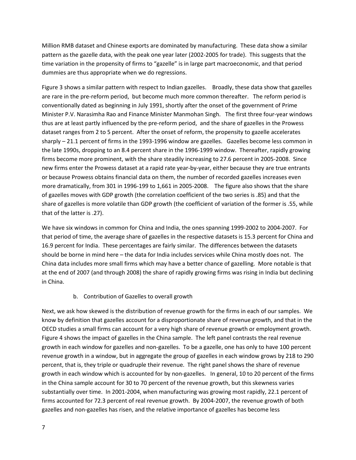Million RMB dataset and Chinese exports are dominated by manufacturing. These data show a similar pattern as the gazelle data, with the peak one year later (2002-2005 for trade). This suggests that the time variation in the propensity of firms to "gazelle" is in large part macroeconomic, and that period dummies are thus appropriate when we do regressions.

Figure 3 shows a similar pattern with respect to Indian gazelles. Broadly, these data show that gazelles are rare in the pre-reform period, but become much more common thereafter. The reform period is conventionally dated as beginning in July 1991, shortly after the onset of the government of Prime Minister P.V. Narasimha Rao and Finance Minister Manmohan Singh. The first three four-year windows thus are at least partly influenced by the pre-reform period, and the share of gazelles in the Prowess dataset ranges from 2 to 5 percent. After the onset of reform, the propensity to gazelle accelerates sharply – 21.1 percent of firms in the 1993-1996 window are gazelles. Gazelles become less common in the late 1990s, dropping to an 8.4 percent share in the 1996-1999 window. Thereafter, rapidly growing firms become more prominent, with the share steadily increasing to 27.6 percent in 2005-2008. Since new firms enter the Prowess dataset at a rapid rate year-by-year, either because they are true entrants or because Prowess obtains financial data on them, the number of recorded gazelles increases even more dramatically, from 301 in 1996-199 to 1,661 in 2005-2008. The figure also shows that the share of gazelles moves with GDP growth (the correlation coefficient of the two series is .85) and that the share of gazelles is more volatile than GDP growth (the coefficient of variation of the former is .55, while that of the latter is .27).

We have six windows in common for China and India, the ones spanning 1999-2002 to 2004-2007. For that period of time, the average share of gazelles in the respective datasets is 15.3 percent for China and 16.9 percent for India. These percentages are fairly similar. The differences between the datasets should be borne in mind here – the data for India includes services while China mostly does not. The China data includes more small firms which may have a better chance of gazelling. More notable is that at the end of 2007 (and through 2008) the share of rapidly growing firms was rising in India but declining in China.

## b. Contribution of Gazelles to overall growth

Next, we ask how skewed is the distribution of revenue growth for the firms in each of our samples. We know by definition that gazelles account for a disproportionate share of revenue growth, and that in the OECD studies a small firms can account for a very high share of revenue growth or employment growth. Figure 4 shows the impact of gazelles in the China sample. The left panel contrasts the real revenue growth in each window for gazelles and non-gazelles. To be a gazelle, one has only to have 100 percent revenue growth in a window, but in aggregate the group of gazelles in each window grows by 218 to 290 percent, that is, they triple or quadruple their revenue. The right panel shows the share of revenue growth in each window which is accounted for by non-gazelles. In general, 10 to 20 percent of the firms in the China sample account for 30 to 70 percent of the revenue growth, but this skewness varies substantially over time. In 2001-2004, when manufacturing was growing most rapidly, 22.1 percent of firms accounted for 72.3 percent of real revenue growth. By 2004-2007, the revenue growth of both gazelles and non-gazelles has risen, and the relative importance of gazelles has become less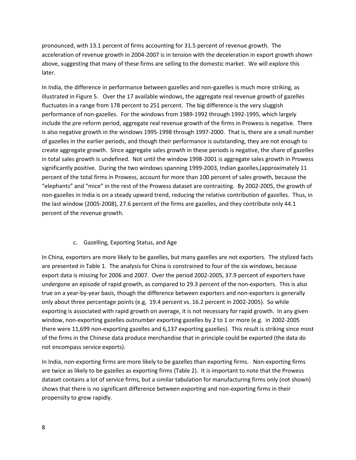pronounced, with 13.1 percent of firms accounting for 31.5 percent of revenue growth. The acceleration of revenue growth in 2004-2007 is in tension with the deceleration in export growth shown above, suggesting that many of these firms are selling to the domestic market. We will explore this later.

In India, the difference in performance between gazelles and non-gazelles is much more striking, as illustrated in Figure 5. Over the 17 available windows, the aggregate real revenue growth of gazelles fluctuates in a range from 178 percent to 251 percent. The big difference is the very sluggish performance of non-gazelles. For the windows from 1989-1992 through 1992-1995, which largely include the pre-reform period, aggregate real revenue growth of the firms in Prowess is negative. There is also negative growth in the windows 1995-1998 through 1997-2000. That is, there are a small number of gazelles in the earlier periods, and though their performance is outstanding, they are not enough to create aggregate growth. Since aggregate sales growth in these periods is negative, the share of gazelles in total sales growth is undefined. Not until the window 1998-2001 is aggregate sales growth in Prowess significantly positive. During the two windows spanning 1999-2003, Indian gazelles,(approximately 11 percent of the total firms in Prowess, account for more than 100 percent of sales growth, because the "elephants" and "mice" in the rest of the Prowess dataset are contracting. By 2002-2005, the growth of non-gazelles in India is on a steady upward trend, reducing the relative contribution of gazelles. Thus, in the last window (2005-2008), 27.6 percent of the firms are gazelles, and they contribute only 44.1 percent of the revenue growth.

## c. Gazelling, Exporting Status, and Age

In China, exporters are more likely to be gazelles, but many gazelles are not exporters. The stylized facts are presented in Table 1. The analysis for China is constrained to four of the six windows, because export data is missing for 2006 and 2007. Over the period 2002-2005, 37.9 percent of exporters have undergone an episode of rapid growth, as compared to 29.3 percent of the non-exporters. This is also true on a year-by-year basis, though the difference between exporters and non-exporters is generally only about three percentage points (e.g, 19.4 percent vs. 16.2 percent in 2002-2005). So while exporting is associated with rapid growth on average, it is not necessary for rapid growth. In any given window, non-exporting gazelles outnumber exporting gazelles by 2 to 1 or more (e.g. in 2002-2005 there were 11,699 non-exporting gazelles and 6,137 exporting gazelles). This result is striking since most of the firms in the Chinese data produce merchandise that in principle could be exported (the data do not encompass service exports).

In India, non-exporting firms are more likely to be gazelles than exporting firms. Non-exporting firms are twice as likely to be gazelles as exporting firms (Table 2). It is important to note that the Prowess dataset contains a lot of service firms, but a similar tabulation for manufacturing firms only (not shown) shows that there is no significant difference between exporting and non-exporting firms in their propensity to grow rapidly.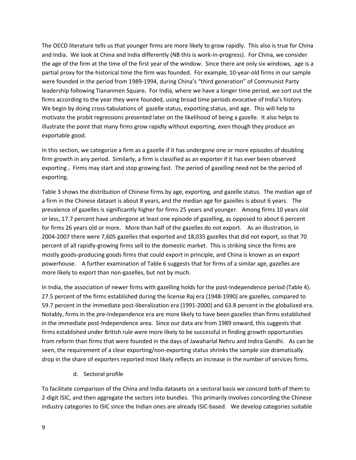The OECD literature tells us that younger firms are more likely to grow rapidly. This also is true for China and India. We look at China and India differently (NB this is work-in-progress). For China, we consider the age of the firm at the time of the first year of the window. Since there are only six windows, age is a partial proxy for the historical time the firm was founded. For example, 10-year-old firms in our sample were founded in the period from 1989-1994, during China's "third generation" of Communist Party leadership following Tiananmen Square**.** For India, where we have a longer time period, we sort out the firms according to the year they were founded, using broad time periods evocative of India's history. We begin by doing cross-tabulations of gazelle status, exporting status, and age. This will help to motivate the probit regressions presented later on the likelihood of being a gazelle. It also helps to illustrate the point that many firms grow rapidly without exporting, even though they produce an exportable good.

In this section, we categorize a firm as a gazelle if it has undergone one or more episodes of doubling firm growth in any period. Similarly, a firm is classified as an exporter if it has ever been observed exporting **.** Firms may start and stop growing fast. The period of gazelling need not be the period of exporting.

Table 3 shows the distribution of Chinese firms by age, exporting, and gazelle status. The median age of a firm in the Chinese dataset is about 8 years, and the median age for gazelles is about 6 years. The prevalence of gazelles is significantly higher for firms 25 years and younger. Among firms 10 years old or less, 17.7 percent have undergone at least one episode of gazelling, as opposed to about 6 percent for firms 26 years old or more. More than half of the gazelles do not export. As an illustration, in 2004-2007 there were 7,605 gazelles that exported and 18,035 gazelles that did not export, so that 70 percent of all rapidly-growing firms sell to the domestic market. This is striking since the firms are mostly goods-producing goods firms that could export in principle, and China is known as an export powerhouse. A further examination of Table 6 suggests that for firms of a similar age, gazelles are more likely to export than non-gazelles, but not by much.

In India, the association of newer firms with gazelling holds for the post-Independence period (Table 4). 27.5 percent of the firms established during the license Raj era (1948-1990) are gazelles, compared to 59.7 percent in the immediate post-liberalization era (1991-2000) and 63.8 percent in the globalized era. Notably, firms in the pre-Independence era are more likely to have been gazelles than firms established in the immediate post-Independence area. Since our data are from 1989 onward, this suggests that firms established under British rule were more likely to be successful in finding growth opportunities from reform than firms that were founded in the days of Jawaharlal Nehru and Indira Gandhi. As can be seen, the requirement of a clear exporting/non-exporting status shrinks the sample size dramatically. drop in the share of exporters reported most likely reflects an increase in the number of services firms.

d. Sectoral profile

To facilitate comparison of the China and India datasets on a sectoral basis we concord both of them to 2-digit ISIC, and then aggregate the sectors into bundles. This primarily involves concording the Chinese industry categories to ISIC since the Indian ones are already ISIC-based. We develop categories suitable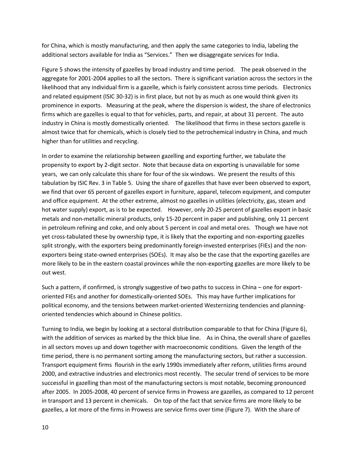for China, which is mostly manufacturing, and then apply the same categories to India, labeling the additional sectors available for India as "Services." Then we disaggregate services for India.

Figure 5 shows the intensity of gazelles by broad industry and time period. The peak observed in the aggregate for 2001-2004 applies to all the sectors. There is significant variation across the sectors in the likelihood that any individual firm is a gazelle, which is fairly consistent across time periods. Electronics and related equipment (ISIC 30-32) is in first place, but not by as much as one would think given its prominence in exports. Measuring at the peak, where the dispersion is widest, the share of electronics firms which are gazelles is equal to that for vehicles, parts, and repair, at about 31 percent. The auto industry in China is mostly domestically oriented. The likelihood that firms in these sectors gazelle is almost twice that for chemicals, which is closely tied to the petrochemical industry in China, and much higher than for utilities and recycling.

In order to examine the relationship between gazelling and exporting further, we tabulate the propensity to export by 2-digit sector. Note that because data on exporting is unavailable for some years, we can only calculate this share for four of the six windows. We present the results of this tabulation by ISIC Rev. 3 in Table 5. Using the share of gazelles that have ever been observed to export, we find that over 65 percent of gazelles export in furniture, apparel, telecom equipment, and computer and office equipment. At the other extreme, almost no gazelles in utilities (electricity, gas, steam and hot water supply) export, as is to be expected. However, only 20-25 percent of gazelles export in basic metals and non-metallic mineral products, only 15-20 percent in paper and publishing, only 11 percent in petroleum refining and coke, and only about 5 percent in coal and metal ores. Though we have not yet cross-tabulated these by ownership type, it is likely that the exporting and non-exporting gazelles split strongly, with the exporters being predominantly foreign-invested enterprises (FIEs) and the nonexporters being state-owned enterprises (SOEs). It may also be the case that the exporting gazelles are more likely to be in the eastern coastal provinces while the non-exporting gazelles are more likely to be out west.

Such a pattern, if confirmed, is strongly suggestive of two paths to success in China – one for exportoriented FIEs and another for domestically-oriented SOEs. This may have further implications for political economy, and the tensions between market-oriented Westernizing tendencies and planningoriented tendencies which abound in Chinese politics.

Turning to India, we begin by looking at a sectoral distribution comparable to that for China (Figure 6), with the addition of services as marked by the thick blue line. As in China, the overall share of gazelles in all sectors moves up and down together with macroeconomic conditions. Given the length of the time period, there is no permanent sorting among the manufacturing sectors, but rather a succession. Transport equipment firms flourish in the early 1990s immediately after reform, utilities firms around 2000, and extractive industries and electronics most recently. The secular trend of services to be more successful in gazelling than most of the manufacturing sectors is most notable, becoming pronounced after 2005. In 2005-2008, 40 percent of service firms in Prowess are gazelles, as compared to 12 percent in transport and 13 percent in chemicals. On top of the fact that service firms are more likely to be gazelles, a lot more of the firms in Prowess are service firms over time (Figure 7). With the share of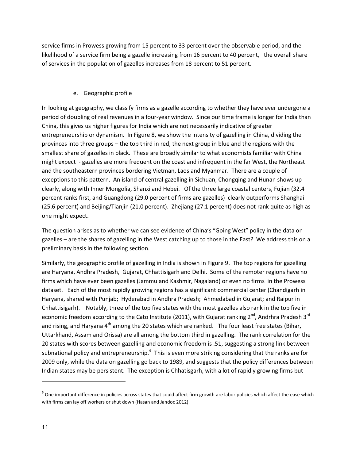service firms in Prowess growing from 15 percent to 33 percent over the observable period, and the likelihood of a service firm being a gazelle increasing from 16 percent to 40 percent, the overall share of services in the population of gazelles increases from 18 percent to 51 percent.

## e. Geographic profile

In looking at geography, we classify firms as a gazelle according to whether they have ever undergone a period of doubling of real revenues in a four-year window. Since our time frame is longer for India than China, this gives us higher figures for India which are not necessarily indicative of greater entrepreneurship or dynamism. In Figure 8, we show the intensity of gazelling in China, dividing the provinces into three groups – the top third in red, the next group in blue and the regions with the smallest share of gazelles in black. These are broadly similar to what economists familiar with China might expect - gazelles are more frequent on the coast and infrequent in the far West, the Northeast and the southeastern provinces bordering Vietman, Laos and Myanmar. There are a couple of exceptions to this pattern. An island of central gazelling in Sichuan, Chongqing and Hunan shows up clearly, along with Inner Mongolia, Shanxi and Hebei. Of the three large coastal centers, Fujian (32.4 percent ranks first, and Guangdong (29.0 percent of firms are gazelles) clearly outperforms Shanghai (25.6 percent) and Beijing/Tianjin (21.0 percent). Zhejiang (27.1 percent) does not rank quite as high as one might expect.

The question arises as to whether we can see evidence of China's "Going West" policy in the data on gazelles – are the shares of gazelling in the West catching up to those in the East? We address this on a preliminary basis in the following section.

Similarly, the geographic profile of gazelling in India is shown in Figure 9. The top regions for gazelling are Haryana, Andhra Pradesh, Gujarat, Chhattisigarh and Delhi. Some of the remoter regions have no firms which have ever been gazelles (Jammu and Kashmir, Nagaland) or even no firms in the Prowess dataset. Each of the most rapidly growing regions has a significant commercial center (Chandigarh in Haryana, shared with Punjab; Hyderabad in Andhra Pradesh; Ahmedabad in Gujarat; and Raipur in Chhattisigarh). Notably, three of the top five states with the most gazelles also rank in the top five in economic freedom according to the Cato Institute (2011), with Gujarat ranking  $2^{nd}$ , Andrhra Pradesh  $3^{rd}$ and rising, and Haryana 4<sup>th</sup> among the 20 states which are ranked. The four least free states (Bihar, Uttarkhand, Assam and Orissa) are all among the bottom third in gazelling. The rank correlation for the 20 states with scores between gazelling and economic freedom is .51, suggesting a strong link between subnational policy and entrepreneurship.<sup>[6](#page-11-0)</sup> This is even more striking considering that the ranks are for 2009 only, while the data on gazelling go back to 1989, and suggests that the policy differences between Indian states may be persistent. The exception is Chhatisgarh, with a lot of rapidly growing firms but

 $\overline{\phantom{a}}$ 

<span id="page-11-0"></span> $6$  One important difference in policies across states that could affect firm growth are labor policies which affect the ease which with firms can lay off workers or shut down (Hasan and Jandoc 2012).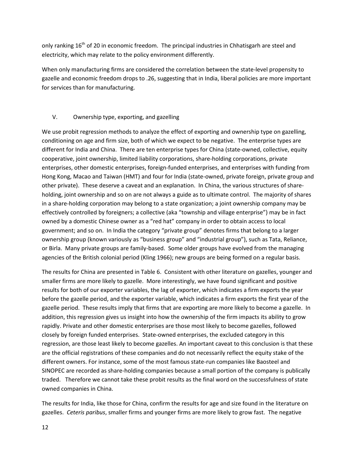only ranking  $16<sup>th</sup>$  of 20 in economic freedom. The principal industries in Chhatisgarh are steel and electricity, which may relate to the policy environment differently.

When only manufacturing firms are considered the correlation between the state-level propensity to gazelle and economic freedom drops to .26, suggesting that in India, liberal policies are more important for services than for manufacturing.

## V. Ownership type, exporting, and gazelling

We use probit regression methods to analyze the effect of exporting and ownership type on gazelling, conditioning on age and firm size, both of which we expect to be negative. The enterprise types are different for India and China. There are ten enterprise types for China (state-owned, collective, equity cooperative, joint ownership, limited liability corporations, share-holding corporations, private enterprises, other domestic enterprises, foreign-funded enterprises, and enterprises with funding from Hong Kong, Macao and Taiwan (HMT) and four for India (state-owned, private foreign, private group and other private). These deserve a caveat and an explanation. In China, the various structures of shareholding, joint ownership and so on are not always a guide as to ultimate control. The majority of shares in a share-holding corporation may belong to a state organization; a joint ownership company may be effectively controlled by foreigners; a collective (aka "township and village enterprise") may be in fact owned by a domestic Chinese owner as a "red hat" company in order to obtain access to local government; and so on. In India the category "private group" denotes firms that belong to a larger ownership group (known variously as "business group" and "industrial group"), such as Tata, Reliance, or Birla. Many private groups are family-based. Some older groups have evolved from the managing agencies of the British colonial period (Kling 1966); new groups are being formed on a regular basis.

The results for China are presented in Table 6. Consistent with other literature on gazelles, younger and smaller firms are more likely to gazelle. More interestingly, we have found significant and positive results for both of our exporter variables, the lag of exporter, which indicates a firm exports the year before the gazelle period, and the exporter variable, which indicates a firm exports the first year of the gazelle period. These results imply that firms that are exporting are more likely to become a gazelle. In addition, this regression gives us insight into how the ownership of the firm impacts its ability to grow rapidly. Private and other domestic enterprises are those most likely to become gazelles, followed closely by foreign funded enterprises. State-owned enterprises, the excluded category in this regression, are those least likely to become gazelles. An important caveat to this conclusion is that these are the official registrations of these companies and do not necessarily reflect the equity stake of the different owners. For instance, some of the most famous state-run companies like Baosteel and SINOPEC are recorded as share-holding companies because a small portion of the company is publically traded. Therefore we cannot take these probit results as the final word on the successfulness of state owned companies in China.

The results for India, like those for China, confirm the results for age and size found in the literature on gazelles. *Ceteris paribus*, smaller firms and younger firms are more likely to grow fast. The negative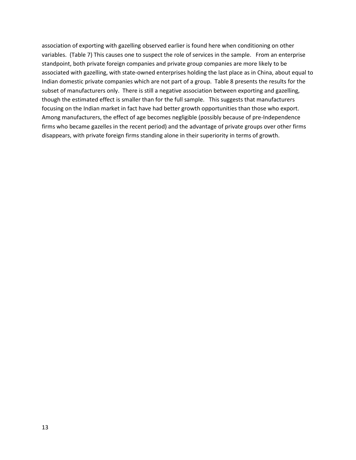association of exporting with gazelling observed earlier is found here when conditioning on other variables. (Table 7) This causes one to suspect the role of services in the sample. From an enterprise standpoint, both private foreign companies and private group companies are more likely to be associated with gazelling, with state-owned enterprises holding the last place as in China, about equal to Indian domestic private companies which are not part of a group. Table 8 presents the results for the subset of manufacturers only. There is still a negative association between exporting and gazelling, though the estimated effect is smaller than for the full sample. This suggests that manufacturers focusing on the Indian market in fact have had better growth opportunities than those who export. Among manufacturers, the effect of age becomes negligible (possibly because of pre-Independence firms who became gazelles in the recent period) and the advantage of private groups over other firms disappears, with private foreign firms standing alone in their superiority in terms of growth.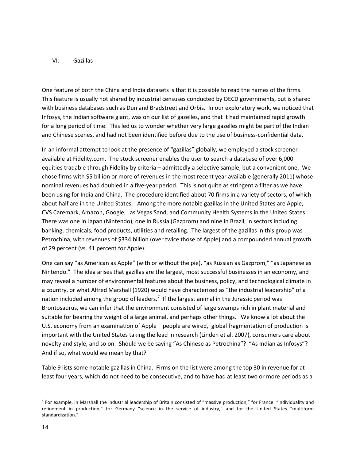#### VI. Gazillas

One feature of both the China and India datasets is that it is possible to read the names of the firms. This feature is usually not shared by industrial censuses conducted by OECD governments, but is shared with business databases such as Dun and Bradstreet and Orbis. In our exploratory work, we noticed that Infosys, the Indian software giant, was on our list of gazelles, and that it had maintained rapid growth for a long period of time. This led us to wonder whether very large gazelles might be part of the Indian and Chinese scenes, and had not been identified before due to the use of business-confidential data.

In an informal attempt to look at the presence of "gazillas" globally, we employed a stock screener available at Fidelity.com. The stock screener enables the user to search a database of over 6,000 equities tradable through Fidelity by criteria – admittedly a selective sample, but a convenient one. We chose firms with \$5 billion or more of revenues in the most recent year available (generally 2011) whose nominal revenues had doubled in a five-year period. This is not quite as stringent a filter as we have been using for India and China. The procedure identified about 70 firms in a variety of sectors, of which about half are in the United States. Among the more notable gazillas in the United States are Apple, CVS Caremark, Amazon, Google, Las Vegas Sand, and Community Health Systems in the United States. There was one in Japan (Nintendo), one in Russia (Gazprom) and nine in Brazil, in sectors including banking, chemicals, food products, utilities and retailing. The largest of the gazillas in this group was Petrochina, with revenues of \$334 billion (over twice those of Apple) and a compounded annual growth of 29 percent (vs. 41 percent for Apple).

One can say "as American as Apple" (with or without the pie), "as Russian as Gazprom," "as Japanese as Nintendo." The idea arises that gazillas are the largest, most successful businesses in an economy, and may reveal a number of environmental features about the business, policy, and technological climate in a country, or what Alfred Marshall (1920) would have characterized as "the industrial leadership" of a nation included among the group of leaders.<sup>[7](#page-14-0)</sup> If the largest animal in the Jurassic period was Brontosaurus, we can infer that the environment consisted of large swamps rich in plant material and suitable for bearing the weight of a large animal, and perhaps other things. We know a lot about the U.S. economy from an examination of Apple – people are wired, global fragmentation of production is important with the United States taking the lead in research (Linden et al. 2007), consumers care about novelty and style, and so on. Should we be saying "As Chinese as Petrochina"? "As Indian as Infosys"? And if so, what would we mean by that?

Table 9 lists some notable gazillas in China. Firms on the list were among the top 30 in revenue for at least four years, which do not need to be consecutive, and to have had at least two or more periods as a

l

<span id="page-14-0"></span> $^7$  For example, in Marshall the industrial leadership of Britain consisted of "massive production," for France "individuality and refinement in production," for Germany "science in the service of industry," and for the United States "multiform standardization."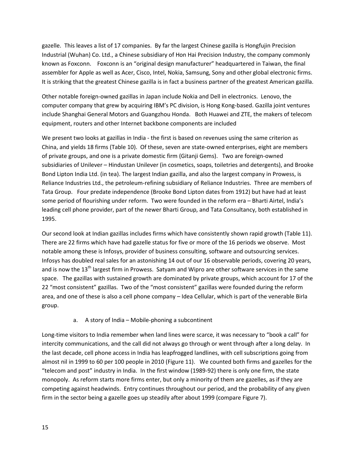gazelle. This leaves a list of 17 companies. By far the largest Chinese gazilla is Hongfujin Precision Industrial (Wuhan) Co. Ltd., a Chinese subsidiary of Hon Hai Precision Industry, the company commonly known as Foxconn. Foxconn is an "original design manufacturer" headquartered in Taiwan, the final assembler for Apple as well as Acer, Cisco, Intel, Nokia, Samsung, Sony and other global electronic firms. It is striking that the greatest Chinese gazilla is in fact a business partner of the greatest American gazilla.

Other notable foreign-owned gazillas in Japan include Nokia and Dell in electronics. Lenovo, the computer company that grew by acquiring IBM's PC division, is Hong Kong-based. Gazilla joint ventures include Shanghai General Motors and Guangzhou Honda. Both Huawei and ZTE, the makers of telecom equipment, routers and other Internet backbone components are included

We present two looks at gazillas in India - the first is based on revenues using the same criterion as China, and yields 18 firms (Table 10). Of these, seven are state-owned enterprises, eight are members of private groups, and one is a private domestic firm (Gitanji Gems). Two are foreign-owned subsidiaries of Unilever – Hindustan Unilever (in cosmetics, soaps, toiletries and detergents), and Brooke Bond Lipton India Ltd. (in tea). The largest Indian gazilla, and also the largest company in Prowess, is Reliance Industries Ltd., the petroleum-refining subsidiary of Reliance Industries. Three are members of Tata Group. Four predate independence (Brooke Bond Lipton dates from 1912) but have had at least some period of flourishing under reform. Two were founded in the reform era – Bharti Airtel, India's leading cell phone provider, part of the newer Bharti Group, and Tata Consultancy, both established in 1995.

Our second look at Indian gazillas includes firms which have consistently shown rapid growth (Table 11). There are 22 firms which have had gazelle status for five or more of the 16 periods we observe. Most notable among these is Infosys, provider of business consulting, software and outsourcing services. Infosys has doubled real sales for an astonishing 14 out of our 16 observable periods, covering 20 years, and is now the  $13<sup>th</sup>$  largest firm in Prowess. Satyam and Wipro are other software services in the same space. The gazillas with sustained growth are dominated by private groups, which account for 17 of the 22 "most consistent" gazillas. Two of the "most consistent" gazillas were founded during the reform area, and one of these is also a cell phone company – Idea Cellular, which is part of the venerable Birla group.

## a. A story of India – Mobile-phoning a subcontinent

Long-time visitors to India remember when land lines were scarce, it was necessary to "book a call" for intercity communications, and the call did not always go through or went through after a long delay. In the last decade, cell phone access in India has leapfrogged landlines, with cell subscriptions going from almost nil in 1999 to 60 per 100 people in 2010 (Figure 11). We counted both firms and gazelles for the "telecom and post" industry in India. In the first window (1989-92) there is only one firm, the state monopoly. As reform starts more firms enter, but only a minority of them are gazelles, as if they are competing against headwinds. Entry continues throughout our period, and the probability of any given firm in the sector being a gazelle goes up steadily after about 1999 (compare Figure 7).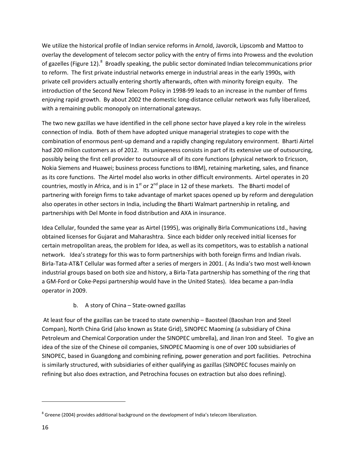We utilize the historical profile of Indian service reforms in Arnold, Javorcik, Lipscomb and Mattoo to overlay the development of telecom sector policy with the entry of firms into Prowess and the evolution of gazelles (Figure 12).<sup>[8](#page-16-0)</sup> Broadly speaking, the public sector dominated Indian telecommunications prior to reform. The first private industrial networks emerge in industrial areas in the early 1990s, with private cell providers actually entering shortly afterwards, often with minority foreign equity. The introduction of the Second New Telecom Policy in 1998-99 leads to an increase in the number of firms enjoying rapid growth. By about 2002 the domestic long-distance cellular network was fully liberalized, with a remaining public monopoly on international gateways.

The two new gazillas we have identified in the cell phone sector have played a key role in the wireless connection of India. Both of them have adopted unique managerial strategies to cope with the combination of enormous pent-up demand and a rapidly changing regulatory environment. Bharti Airtel had 200 milion customers as of 2012. Its uniqueness consists in part of its extensive use of outsourcing, possibly being the first cell provider to outsource all of its core functions (physical network to Ericsson, Nokia Siemens and Huawei; business process functions to IBM), retaining marketing, sales, and finance as its core functions. The Airtel model also works in other difficult environments. Airtel operates in 20 countries, mostly in Africa, and is in  $1<sup>st</sup>$  or  $2<sup>nd</sup>$  place in 12 of these markets. The Bharti model of partnering with foreign firms to take advantage of market spaces opened up by reform and deregulation also operates in other sectors in India, including the Bharti Walmart partnership in retaling, and partnerships with Del Monte in food distribution and AXA in insurance.

Idea Cellular, founded the same year as Airtel (1995), was originally Birla Communications Ltd., having obtained licenses for Gujarat and Maharashtra. Since each bidder only received initial licenses for certain metropolitan areas, the problem for Idea, as well as its competitors, was to establish a national network. Idea's strategy for this was to form partnerships with both foreign firms and Indian rivals. Birla-Tata-AT&T Cellular was formed after a series of mergers in 2001. ( As India's two most well-known industrial groups based on both size and history, a Birla-Tata partnership has something of the ring that a GM-Ford or Coke-Pepsi partnership would have in the United States). Idea became a pan-India operator in 2009.

## b. A story of China – State-owned gazillas

At least four of the gazillas can be traced to state ownership – Baosteel (Baoshan Iron and Steel Compan), North China Grid (also known as State Grid), SINOPEC Maoming (a subsidiary of China Petroleum and Chemical Corporation under the SINOPEC umbrella), and Jinan Iron and Steel. To give an idea of the size of the Chinese oil companies, SINOPEC Maoming is one of over 100 subsidiaries of SINOPEC, based in Guangdong and combining refining, power generation and port facilities. Petrochina is similarly structured, with subsidiaries of either qualifying as gazillas (SINOPEC focuses mainly on refining but also does extraction, and Petrochina focuses on extraction but also does refining).

 $\overline{\phantom{a}}$ 

<span id="page-16-0"></span><sup>&</sup>lt;sup>8</sup> Greene (2004) provides additional background on the development of India's telecom liberalization.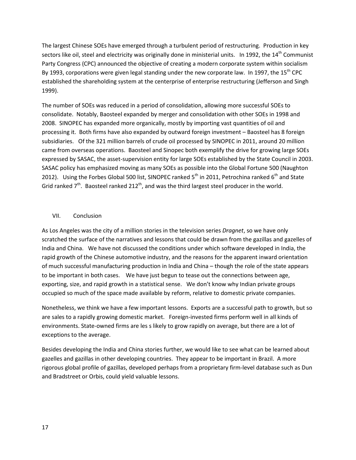The largest Chinese SOEs have emerged through a turbulent period of restructuring. Production in key sectors like oil, steel and electricity was originally done in ministerial units. In 1992, the 14<sup>th</sup> Communist Party Congress (CPC) announced the objective of creating a modern corporate system within socialism By 1993, corporations were given legal standing under the new corporate law. In 1997, the 15<sup>th</sup> CPC established the shareholding system at the centerprise of enterprise restructuring (Jefferson and Singh 1999).

The number of SOEs was reduced in a period of consolidation, allowing more successful SOEs to consolidate. Notably, Baosteel expanded by merger and consolidation with other SOEs in 1998 and 2008. SINOPEC has expanded more organically, mostly by importing vast quantities of oil and processing it. Both firms have also expanded by outward foreign investment – Baosteel has 8 foreign subsidiaries. Of the 321 million barrels of crude oil processed by SINOPEC in 2011, around 20 million came from overseas operations. Baosteel and Sinopec both exemplify the drive for growing large SOEs expressed by SASAC, the asset-supervision entity for large SOEs established by the State Council in 2003. SASAC policy has emphasized moving as many SOEs as possible into the Global Fortune 500 (Naughton 2012). Using the Forbes Global 500 list, SINOPEC ranked  $5<sup>th</sup>$  in 2011, Petrochina ranked  $6<sup>th</sup>$  and State Grid ranked  $7<sup>th</sup>$ . Baosteel ranked 212<sup>th</sup>, and was the third largest steel producer in the world.

## VII. Conclusion

As Los Angeles was the city of a million stories in the television series *Dragnet*, so we have only scratched the surface of the narratives and lessons that could be drawn from the gazillas and gazelles of India and China. We have not discussed the conditions under which software developed in India, the rapid growth of the Chinese automotive industry, and the reasons for the apparent inward orientation of much successful manufacturing production in India and China – though the role of the state appears to be important in both cases. We have just begun to tease out the connections between age, exporting, size, and rapid growth in a statistical sense. We don't know why Indian private groups occupied so much of the space made available by reform, relative to domestic private companies.

Nonetheless, we think we have a few important lessons. Exports are a successful path to growth, but so are sales to a rapidly growing domestic market. Foreign-invested firms perform well in all kinds of environments. State-owned firms are les s likely to grow rapidly on average, but there are a lot of exceptions to the average.

Besides developing the India and China stories further, we would like to see what can be learned about gazelles and gazillas in other developing countries. They appear to be important in Brazil. A more rigorous global profile of gazillas, developed perhaps from a proprietary firm-level database such as Dun and Bradstreet or Orbis, could yield valuable lessons.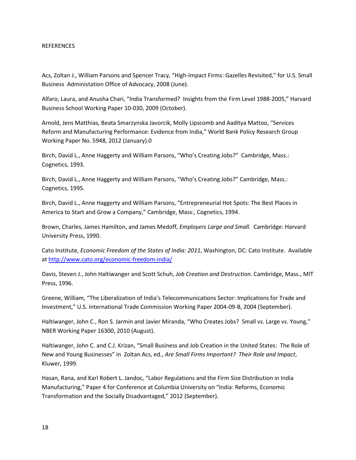#### REFERENCES

Acs, Zoltan J., William Parsons and Spencer Tracy, "High-Impact Firms: Gazelles Revisited," for U.S. Small Business Administation Office of Advocacy, 2008 (June).

Alfaro, Laura, and Anusha Chari, "India Transformed? Insights from the Firm Level 1988-2005," Harvard Business School Working Paper 10-030, 2009 (October).

Arnold, Jens Matthias, Beata Smarzynska Javorcik, Molly Lipscomb and Aaditya Mattoo, "Services Reform and Manufacturing Performance: Evidence from India," World Bank Policy Research Group Working Paper No. 5948, 2012 (January).0

Birch, David L., Anne Haggerty and William Parsons, "Who's Creating Jobs?" Cambridge, Mass.: Cognetics, 1993.

Birch, David L., Anne Haggerty and William Parsons, "Who's Creating Jobs?" Cambridge, Mass.: Cognetics, 1995.

Birch, David L., Anne Haggerty and William Parsons, "Entrepreneurial Hot Spots: The Best Places in America to Start and Grow a Company," Cambridge, Mass:, Cognetics, 1994.

Brown, Charles, James Hamilton, and James Medoff, *Employers Large and Small.* Cambridge: Harvard University Press, 1990.

Cato Institute, *Economic Freedom of the States of India: 2011*, Washington, DC: Cato Institute. Available at<http://www.cato.org/economic-freedom-india/>

Davis, Steven J., John Haltiwanger and Scott Schuh, *Job Creation and Destruction.* Cambridge, Mass., MIT Press, 1996.

Greene, William, "The Liberalization of India's Telecommunications Sector: Implications for Trade and Investment," U.S. International Trade Commission Working Paper 2004-09-B, 2004 (September).

Haltiwanger, John C., Ron S. Jarmin and Javier Miranda, "Who Creates Jobs? Small vs. Large vs. Young," NBER Working Paper 16300, 2010 (August).

Haltiwanger, John C. and C.J. Krizan, "Small Business and Job Creation in the United States: The Role of New and Young Businesses" in Zoltan Acs, ed., *Are Small Firms Important? Their Role and Impact*, Kluwer, 1999.

Hasan, Rana, and Karl Robert L. Jandoc, "Labor Regulations and the Firm Size Distribution in India Manufacturing," Paper 4 for Conference at Columbia University on "India: Reforms, Economic Transformation and the Socially Disadvantaged," 2012 (September).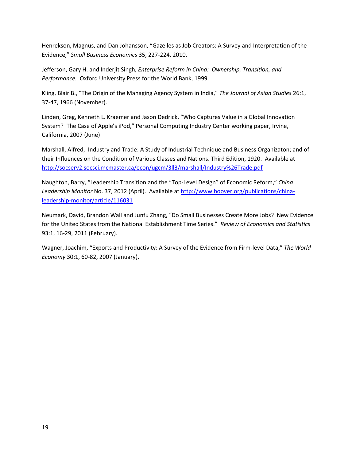Henrekson, Magnus, and Dan Johansson, "Gazelles as Job Creators: A Survey and Interpretation of the Evidence," *Small Business Economics* 35, 227-224, 2010.

Jefferson, Gary H. and Inderjit Singh, *Enterprise Reform in China: Ownership, Transition, and Performance.* Oxford University Press for the World Bank, 1999.

Kling, Blair B., "The Origin of the Managing Agency System in India," *The Journal of Asian Studies* 26:1, 37-47, 1966 (November).

Linden, Greg, Kenneth L. Kraemer and Jason Dedrick, "Who Captures Value in a Global Innovation System? The Case of Apple's iPod," Personal Computing Industry Center working paper, Irvine, California, 2007 (June)

Marshall, Alfred, Industry and Trade: A Study of Industrial Technique and Business Organizaton; and of their Influences on the Condition of Various Classes and Nations. Third Edition, 1920. Available at <http://socserv2.socsci.mcmaster.ca/econ/ugcm/3ll3/marshall/Industry%26Trade.pdf>

Naughton, Barry, "Leadership Transition and the "Top-Level Design" of Economic Reform," *China Leadership Monitor* No. 37, 2012 (April). Available at [http://www.hoover.org/publications/china](http://www.hoover.org/publications/china-leadership-monitor/article/116031)[leadership-monitor/article/116031](http://www.hoover.org/publications/china-leadership-monitor/article/116031)

Neumark, David, Brandon Wall and Junfu Zhang, "Do Small Businesses Create More Jobs? New Evidence for the United States from the National Establishment Time Series." *Review of Economics and Statistics* 93:1, 16-29, 2011 (February).

Wagner, Joachim, "Exports and Productivity: A Survey of the Evidence from Firm-level Data," *The World Economy* 30:1, 60-82, 2007 (January).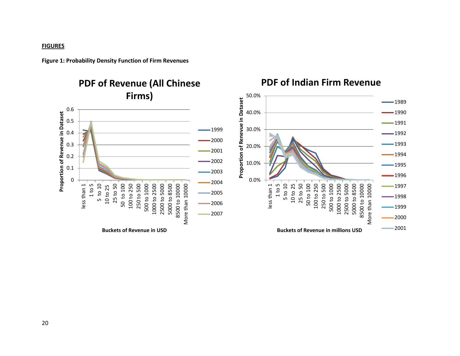### **FIGURES**





**PDF of Revenue (All Chinese** 

# **PDF of Indian Firm Revenue**

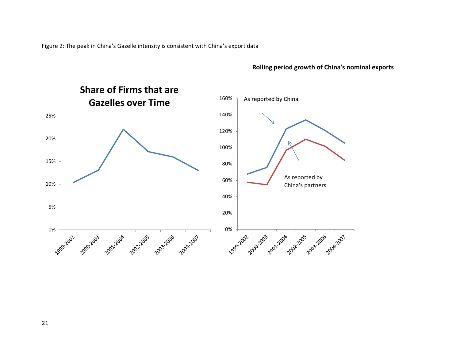Figure 2: The peak in China's Gazelle intensity is consistent with China's export data

# 0% - 2002-2023 - 2021-2022-2023-2023-2020 - 2021-2021 5% 10% 15% 20% 25% **Share of Firms that are Gazelles over Time** 1993-2002-2002-2002-2003-2009-2002-2007 20% 40% 60% 80% 100% 120% 140% 160%  $\frac{1}{1}$  As reported by China As reported by China's partners

## **Rolling period growth of China's nominal exports**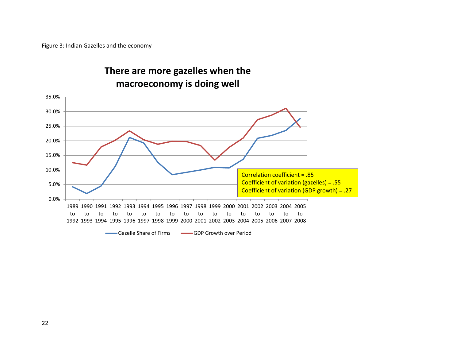Figure 3: Indian Gazelles and the economy



22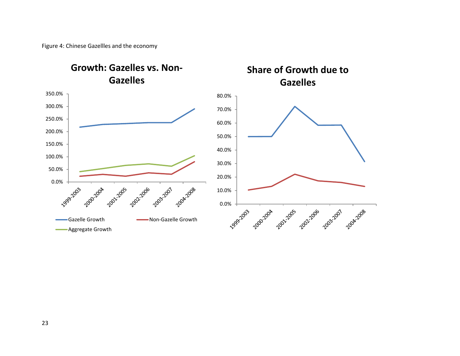Figure 4: Chinese Gazellles and the economy



# **Growth: Gazelles vs. Non-**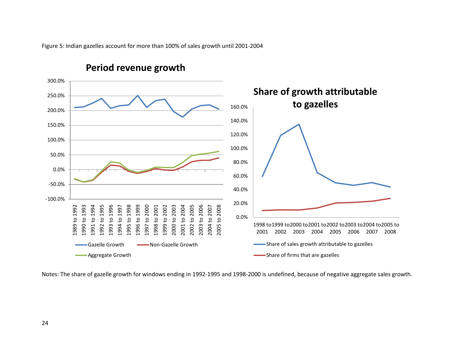Figure 5: Indian gazelles account for more than 100% of sales growth until 2001-2004



**Period revenue growth**

Notes: The share of gazelle growth for windows ending in 1992-1995 and 1998-2000 is undefined, because of negative aggregate sales growth.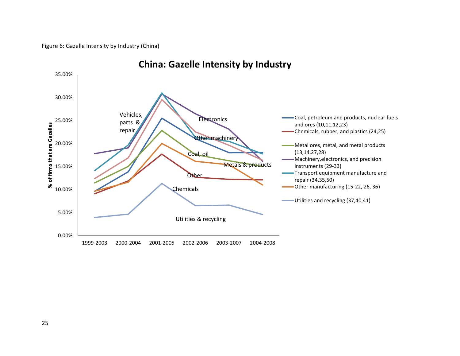Figure 6: Gazelle Intensity by Industry (China)



# **China: Gazelle Intensity by Industry**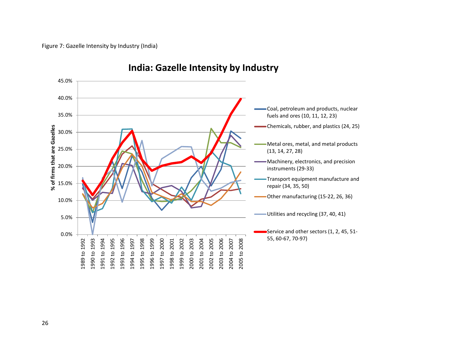Figure 7: Gazelle Intensity by Industry (India)



# **India: Gazelle Intensity by Industry**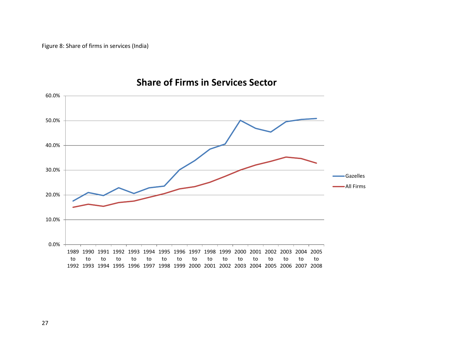Figure 8: Share of firms in services (India)



# **Share of Firms in Services Sector**

27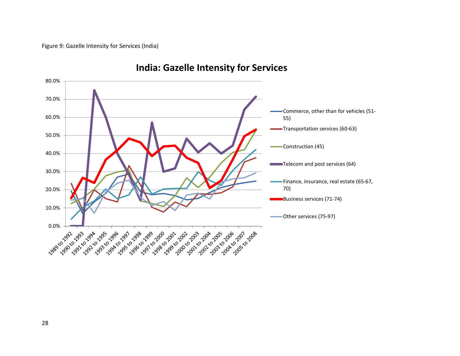Figure 9: Gazelle Intensity for Services (India)



**India: Gazelle Intensity for Services**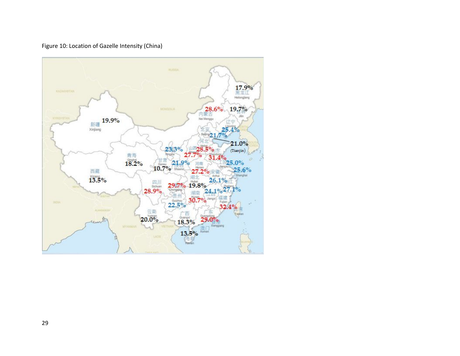

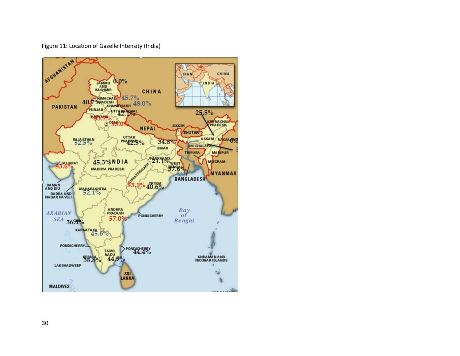

Figure 11: Location of Gazelle Intensity (India)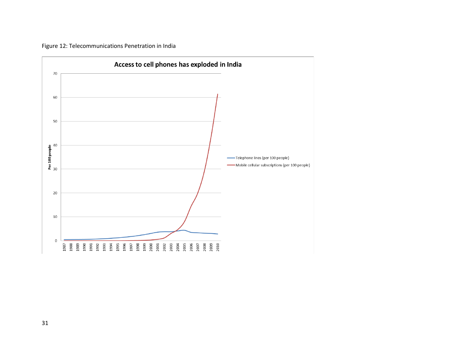

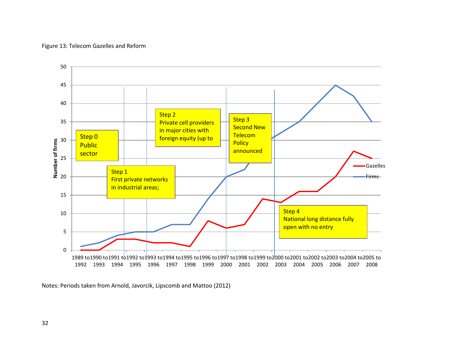



Notes: Periods taken from Arnold, Javorcik, Lipscomb and Mattoo (2012)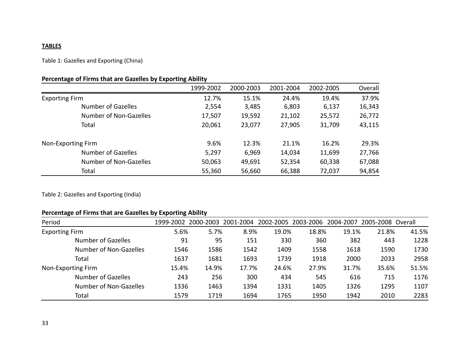## **TABLES**

Table 1: Gazelles and Exporting (China)

# **Percentage of Firms that are Gazelles by Exporting Ability**

|                           | 1999-2002 | 2000-2003 | 2001-2004 | 2002-2005 | Overall |
|---------------------------|-----------|-----------|-----------|-----------|---------|
| <b>Exporting Firm</b>     | 12.7%     | 15.1%     | 24.4%     | 19.4%     | 37.9%   |
| <b>Number of Gazelles</b> | 2,554     | 3,485     | 6,803     | 6,137     | 16,343  |
| Number of Non-Gazelles    | 17,507    | 19,592    | 21,102    | 25,572    | 26,772  |
| Total                     | 20,061    | 23,077    | 27,905    | 31,709    | 43,115  |
| Non-Exporting Firm        | 9.6%      | 12.3%     | 21.1%     | 16.2%     | 29.3%   |
| <b>Number of Gazelles</b> | 5,297     | 6,969     | 14,034    | 11,699    | 27,766  |
| Number of Non-Gazelles    | 50,063    | 49,691    | 52,354    | 60,338    | 67,088  |
| Total                     | 55,360    | 56,660    | 66,388    | 72,037    | 94,854  |

Table 2: Gazelles and Exporting (India)

# **Percentage of Firms that are Gazelles by Exporting Ability**

| Period                    | 1999-2002 | 2000-2003 | 2001-2004 | 2002-2005 | 2003-2006 | 2004-2007 | 2005-2008 Overall |       |
|---------------------------|-----------|-----------|-----------|-----------|-----------|-----------|-------------------|-------|
| <b>Exporting Firm</b>     | 5.6%      | 5.7%      | 8.9%      | 19.0%     | 18.8%     | 19.1%     | 21.8%             | 41.5% |
| <b>Number of Gazelles</b> | 91        | 95        | 151       | 330       | 360       | 382       | 443               | 1228  |
| Number of Non-Gazelles    | 1546      | 1586      | 1542      | 1409      | 1558      | 1618      | 1590              | 1730  |
| Total                     | 1637      | 1681      | 1693      | 1739      | 1918      | 2000      | 2033              | 2958  |
| Non-Exporting Firm        | 15.4%     | 14.9%     | 17.7%     | 24.6%     | 27.9%     | 31.7%     | 35.6%             | 51.5% |
| <b>Number of Gazelles</b> | 243       | 256       | 300       | 434       | 545       | 616       | 715               | 1176  |
| Number of Non-Gazelles    | 1336      | 1463      | 1394      | 1331      | 1405      | 1326      | 1295              | 1107  |
| Total                     | 1579      | 1719      | 1694      | 1765      | 1950      | 1942      | 2010              | 2283  |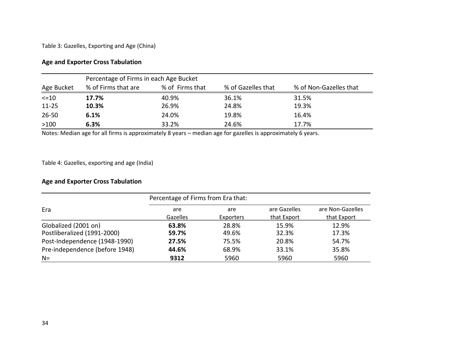Table 3: Gazelles, Exporting and Age (China)

## **Age and Exporter Cross Tabulation**

|            | Percentage of Firms in each Age Bucket |                 |                    |                        |  |  |  |  |  |
|------------|----------------------------------------|-----------------|--------------------|------------------------|--|--|--|--|--|
| Age Bucket | % of Firms that are                    | % of Firms that | % of Gazelles that | % of Non-Gazelles that |  |  |  |  |  |
| $\leq$ 10  | 17.7%                                  | 40.9%           | 36.1%              | 31.5%                  |  |  |  |  |  |
| $11 - 25$  | 10.3%                                  | 26.9%           | 24.8%              | 19.3%                  |  |  |  |  |  |
| $26 - 50$  | 6.1%                                   | 24.0%           | 19.8%              | 16.4%                  |  |  |  |  |  |
| >100       | 6.3%                                   | 33.2%           | 24.6%              | 17.7%                  |  |  |  |  |  |

Notes: Median age for all firms is approximately 8 years – median age for gazelles is approximately 6 years.

Table 4: Gazelles, exporting and age (India)

## **Age and Exporter Cross Tabulation**

|                                                     | Percentage of Firms from Era that: |                  |                             |                                 |
|-----------------------------------------------------|------------------------------------|------------------|-----------------------------|---------------------------------|
| Era                                                 | are<br>Gazelles                    | are<br>Exporters | are Gazelles<br>that Export | are Non-Gazelles<br>that Export |
| Globalized (2001 on)<br>Postliberalized (1991-2000) | 63.8%<br>59.7%                     | 28.8%<br>49.6%   | 15.9%<br>32.3%              | 12.9%<br>17.3%                  |
| Post-Independence (1948-1990)                       | 27.5%                              | 75.5%            | 20.8%                       | 54.7%                           |
| Pre-independence (before 1948)                      | 44.6%                              | 68.9%            | 33.1%                       | 35.8%                           |
| $N=$                                                | 9312                               | 5960             | 5960                        | 5960                            |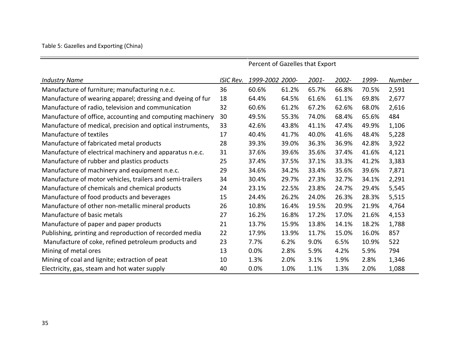|                                                            |                  | Percent of Gazelles that Export |       |       |       |       |               |  |
|------------------------------------------------------------|------------------|---------------------------------|-------|-------|-------|-------|---------------|--|
| <b>Industry Name</b>                                       | <b>ISIC Rev.</b> | 1999-2002 2000-                 |       | 2001- | 2002- | 1999- | <b>Number</b> |  |
| Manufacture of furniture; manufacturing n.e.c.             | 36               | 60.6%                           | 61.2% | 65.7% | 66.8% | 70.5% | 2,591         |  |
| Manufacture of wearing apparel; dressing and dyeing of fur | 18               | 64.4%                           | 64.5% | 61.6% | 61.1% | 69.8% | 2,677         |  |
| Manufacture of radio, television and communication         | 32               | 60.6%                           | 61.2% | 67.2% | 62.6% | 68.0% | 2,616         |  |
| Manufacture of office, accounting and computing machinery  | 30               | 49.5%                           | 55.3% | 74.0% | 68.4% | 65.6% | 484           |  |
| Manufacture of medical, precision and optical instruments, | 33               | 42.6%                           | 43.8% | 41.1% | 47.4% | 49.9% | 1,106         |  |
| Manufacture of textiles                                    | 17               | 40.4%                           | 41.7% | 40.0% | 41.6% | 48.4% | 5,228         |  |
| Manufacture of fabricated metal products                   | 28               | 39.3%                           | 39.0% | 36.3% | 36.9% | 42.8% | 3,922         |  |
| Manufacture of electrical machinery and apparatus n.e.c.   | 31               | 37.6%                           | 39.6% | 35.6% | 37.4% | 41.6% | 4,121         |  |
| Manufacture of rubber and plastics products                | 25               | 37.4%                           | 37.5% | 37.1% | 33.3% | 41.2% | 3,383         |  |
| Manufacture of machinery and equipment n.e.c.              | 29               | 34.6%                           | 34.2% | 33.4% | 35.6% | 39.6% | 7,871         |  |
| Manufacture of motor vehicles, trailers and semi-trailers  | 34               | 30.4%                           | 29.7% | 27.3% | 32.7% | 34.1% | 2,291         |  |
| Manufacture of chemicals and chemical products             | 24               | 23.1%                           | 22.5% | 23.8% | 24.7% | 29.4% | 5,545         |  |
| Manufacture of food products and beverages                 | 15               | 24.4%                           | 26.2% | 24.0% | 26.3% | 28.3% | 5,515         |  |
| Manufacture of other non-metallic mineral products         | 26               | 10.8%                           | 16.4% | 19.5% | 20.9% | 21.9% | 4,764         |  |
| Manufacture of basic metals                                | 27               | 16.2%                           | 16.8% | 17.2% | 17.0% | 21.6% | 4,153         |  |
| Manufacture of paper and paper products                    | 21               | 13.7%                           | 15.9% | 13.8% | 14.1% | 18.2% | 1,788         |  |
| Publishing, printing and reproduction of recorded media    | 22               | 17.9%                           | 13.9% | 11.7% | 15.0% | 16.0% | 857           |  |
| Manufacture of coke, refined petroleum products and        | 23               | 7.7%                            | 6.2%  | 9.0%  | 6.5%  | 10.9% | 522           |  |
| Mining of metal ores                                       | 13               | 0.0%                            | 2.8%  | 5.9%  | 4.2%  | 5.9%  | 794           |  |
| Mining of coal and lignite; extraction of peat             | 10               | 1.3%                            | 2.0%  | 3.1%  | 1.9%  | 2.8%  | 1,346         |  |
| Electricity, gas, steam and hot water supply               | 40               | 0.0%                            | 1.0%  | 1.1%  | 1.3%  | 2.0%  | 1,088         |  |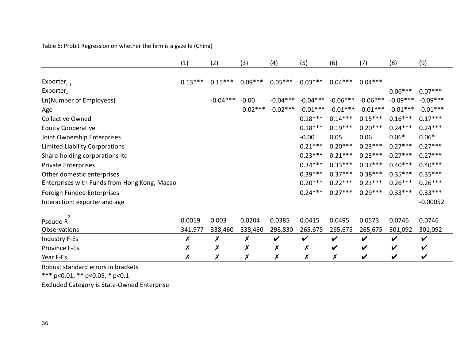Table 6: Probit Regression on whether the firm is a gazelle (China)

|                                              | (1)       | (2)        | (3)        | (4)        | (5)        | (6)        | (7)        | (8)                | (9)        |
|----------------------------------------------|-----------|------------|------------|------------|------------|------------|------------|--------------------|------------|
|                                              |           |            |            |            |            |            |            |                    |            |
| Exporter <sub>t-1</sub>                      | $0.13***$ | $0.15***$  | $0.09***$  | $0.05***$  | $0.03***$  | $0.04***$  | $0.04***$  |                    |            |
| Exporter <sub>+</sub>                        |           |            |            |            |            |            |            | $0.06***$          | $0.07***$  |
| Ln(Number of Employees)                      |           | $-0.04***$ | $-0.00$    | $-0.04***$ | $-0.04***$ | $-0.06***$ | $-0.06***$ | $-0.09***$         | $-0.09***$ |
| Age                                          |           |            | $-0.02***$ | $-0.02***$ | $-0.01***$ | $-0.01***$ | $-0.01***$ | $-0.01***$         | $-0.01***$ |
| <b>Collective Owned</b>                      |           |            |            |            | $0.18***$  | $0.14***$  | $0.15***$  | $0.16***$          | $0.17***$  |
| <b>Equity Cooperative</b>                    |           |            |            |            | $0.18***$  | $0.19***$  | $0.20***$  | $0.24***$          | $0.24***$  |
| Joint Ownership Enterprises                  |           |            |            |            | $-0.00$    | 0.05       | 0.06       | $0.06*$            | $0.06*$    |
| <b>Limited Liability Corporations</b>        |           |            |            |            | $0.21***$  | $0.20***$  | $0.23***$  | $0.27***$          | $0.27***$  |
| Share-holding corporations Itd               |           |            |            |            | $0.23***$  | $0.21***$  | $0.23***$  | $0.27***$          | $0.27***$  |
| <b>Private Enterprises</b>                   |           |            |            |            | $0.34***$  | $0.33***$  | $0.37***$  | $0.40***$          | $0.40***$  |
| Other domestic enterprises                   |           |            |            |            | $0.39***$  | $0.37***$  | $0.38***$  | $0.35***$          | $0.35***$  |
| Enterprises with Funds from Hong Kong, Macao |           |            |            |            | $0.20***$  | $0.22***$  | $0.23***$  | $0.26***$          | $0.26***$  |
| Foreign Funded Enterprises                   |           |            |            |            | $0.24***$  | $0.27***$  | $0.29***$  | $0.33***$          | $0.33***$  |
| Interaction: exporter and age                |           |            |            |            |            |            |            |                    | $-0.00052$ |
| Pseudo R                                     | 0.0019    | 0.003      | 0.0204     | 0.0385     | 0.0415     | 0.0495     | 0.0573     | 0.0746             | 0.0746     |
| Observations                                 | 341,977   | 338,460    | 338,460    | 298,830    | 265,675    | 265,675    | 265,675    | 301,092            | 301,092    |
| <b>Industry F-Es</b>                         | X         | Х          | Х          | V          | V          | V          | V          | $\boldsymbol{\nu}$ | V          |
| Province F-Es                                | Х         | Х          | Х          | Х          | Х          | V          | V          | V                  | V          |
| Year F-Es                                    |           |            |            | Х          |            |            | V          | V                  | V          |

Robust standard errors in brackets

\*\*\* p<0.01, \*\* p<0.05, \* p<0.1

Excluded Category is State-Owned Enterprise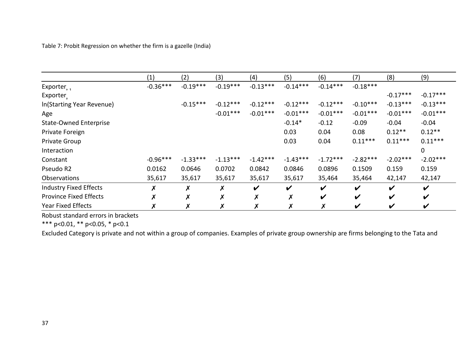Table 7: Probit Regression on whether the firm is a gazelle (India)

|                               | (1)        | (2)        | (3)        | (4)        | (5)        | (6)                | (7)        | (8)        | (9)                        |
|-------------------------------|------------|------------|------------|------------|------------|--------------------|------------|------------|----------------------------|
| Exporter <sub>+1</sub>        | $-0.36***$ | $-0.19***$ | $-0.19***$ | $-0.13***$ | $-0.14***$ | $-0.14***$         | $-0.18***$ |            |                            |
| Exporter.                     |            |            |            |            |            |                    |            | $-0.17***$ | $-0.17***$                 |
| In(Starting Year Revenue)     |            | $-0.15***$ | $-0.12***$ | $-0.12***$ | $-0.12***$ | $-0.12***$         | $-0.10***$ | $-0.13***$ | $-0.13***$                 |
| Age                           |            |            | $-0.01***$ | $-0.01***$ | $-0.01***$ | $-0.01***$         | $-0.01***$ | $-0.01***$ | $-0.01***$                 |
| <b>State-Owned Enterprise</b> |            |            |            |            | $-0.14*$   | $-0.12$            | $-0.09$    | $-0.04$    | $-0.04$                    |
| Private Foreign               |            |            |            |            | 0.03       | 0.04               | 0.08       | $0.12**$   | $0.12**$                   |
| <b>Private Group</b>          |            |            |            |            | 0.03       | 0.04               | $0.11***$  | $0.11***$  | $0.11***$                  |
| Interaction                   |            |            |            |            |            |                    |            |            | $\mathbf 0$                |
| Constant                      | $-0.96***$ | $-1.33***$ | $-1.13***$ | $-1.42***$ | $-1.43***$ | $-1.72***$         | $-2.82***$ | $-2.02***$ | $-2.02***$                 |
| Pseudo R2                     | 0.0162     | 0.0646     | 0.0702     | 0.0842     | 0.0846     | 0.0896             | 0.1509     | 0.159      | 0.159                      |
| <b>Observations</b>           | 35,617     | 35,617     | 35,617     | 35,617     | 35,617     | 35,464             | 35,464     | 42,147     | 42,147                     |
| <b>Industry Fixed Effects</b> | Х          | X          | Х          | V          | V          | $\boldsymbol{\nu}$ | V          | V          | $\boldsymbol{\mathcal{U}}$ |
| <b>Province Fixed Effects</b> | X          | X          | X          | X          | Х          | V                  | V          | V          | $\boldsymbol{\mathcal{U}}$ |
| Year Fixed Effects            | Х          | X          | Х          | Х          | Х          | Х                  | V          | V          | $\checkmark$               |

Robust standard errors in brackets

\*\*\* p<0.01, \*\* p<0.05, \* p<0.1

Excluded Category is private and not within a group of companies. Examples of private group ownership are firms belonging to the Tata and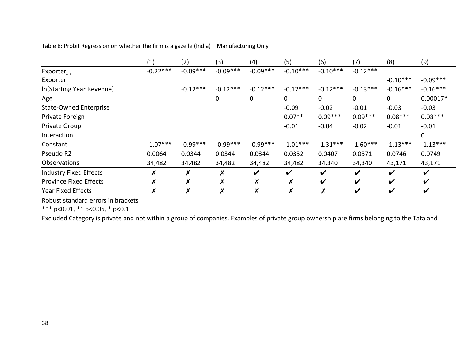Table 8: Probit Regression on whether the firm is a gazelle (India) – Manufacturing Only

|                               | (1)        | (2)        | (3)        | (4)        | (5)        | (6)                        | (7)        | (8)        | (9)         |
|-------------------------------|------------|------------|------------|------------|------------|----------------------------|------------|------------|-------------|
| $Exporter_{1}$                | $-0.22***$ | $-0.09***$ | $-0.09***$ | $-0.09***$ | $-0.10***$ | $-0.10***$                 | $-0.12***$ |            |             |
| Exporter                      |            |            |            |            |            |                            |            | $-0.10***$ | $-0.09***$  |
| In(Starting Year Revenue)     |            | $-0.12***$ | $-0.12***$ | $-0.12***$ | $-0.12***$ | $-0.12***$                 | $-0.13***$ | $-0.16***$ | $-0.16***$  |
| Age                           |            |            | 0          | 0          | 0          | 0                          | 0          | 0          | $0.00017*$  |
| <b>State-Owned Enterprise</b> |            |            |            |            | $-0.09$    | $-0.02$                    | $-0.01$    | $-0.03$    | $-0.03$     |
| Private Foreign               |            |            |            |            | $0.07**$   | $0.09***$                  | $0.09***$  | $0.08***$  | $0.08***$   |
| Private Group                 |            |            |            |            | $-0.01$    | $-0.04$                    | $-0.02$    | $-0.01$    | $-0.01$     |
| Interaction                   |            |            |            |            |            |                            |            |            | $\mathbf 0$ |
| Constant                      | $-1.07***$ | $-0.99***$ | $-0.99***$ | $-0.99***$ | $-1.01***$ | $-1.31***$                 | $-1.60***$ | $-1.13***$ | $-1.13***$  |
| Pseudo R2                     | 0.0064     | 0.0344     | 0.0344     | 0.0344     | 0.0352     | 0.0407                     | 0.0571     | 0.0746     | 0.0749      |
| Observations                  | 34,482     | 34,482     | 34,482     | 34,482     | 34,482     | 34,340                     | 34,340     | 43,171     | 43,171      |
| <b>Industry Fixed Effects</b> | Х          | X          | X          | V          | V          | V                          | ✓          | ✔          | V           |
| <b>Province Fixed Effects</b> | X          | X          | X          | X          | Х          | $\boldsymbol{\mathcal{U}}$ | V          | V          | V           |
| <b>Year Fixed Effects</b>     | Χ          | Х          | Х          | Х          |            | Х                          | V          | V          | V           |

Robust standard errors in brackets

\*\*\* p<0.01, \*\* p<0.05, \* p<0.1

Excluded Category is private and not within a group of companies. Examples of private group ownership are firms belonging to the Tata and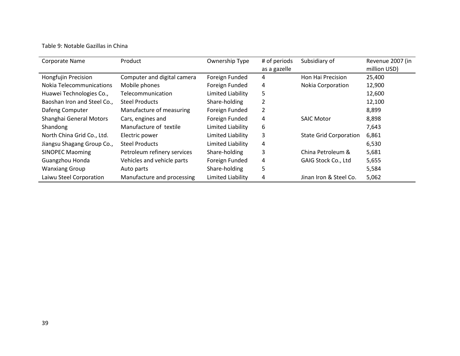## Table 9: Notable Gazillas in China

| Corporate Name              | Product                     | Ownership Type    | # of periods | Subsidiary of                 | Revenue 2007 (in |
|-----------------------------|-----------------------------|-------------------|--------------|-------------------------------|------------------|
|                             |                             |                   | as a gazelle |                               | million USD)     |
| Hongfujin Precision         | Computer and digital camera | Foreign Funded    | 4            | Hon Hai Precision             | 25,400           |
| Nokia Telecommunications    | Mobile phones               | Foreign Funded    | 4            | <b>Nokia Corporation</b>      | 12,900           |
| Huawei Technologies Co.,    | Telecommunication           | Limited Liability | 5            |                               | 12,600           |
| Baoshan Iron and Steel Co., | <b>Steel Products</b>       | Share-holding     | 2            |                               | 12,100           |
| Dafeng Computer             | Manufacture of measuring    | Foreign Funded    | 2            |                               | 8,899            |
| Shanghai General Motors     | Cars, engines and           | Foreign Funded    | 4            | <b>SAIC Motor</b>             | 8,898            |
| Shandong                    | Manufacture of textile      | Limited Liability | 6            |                               | 7,643            |
| North China Grid Co., Ltd.  | Electric power              | Limited Liability | 3            | <b>State Grid Corporation</b> | 6,861            |
| Jiangsu Shagang Group Co.,  | <b>Steel Products</b>       | Limited Liability | 4            |                               | 6,530            |
| <b>SINOPEC Maoming</b>      | Petroleum refinery services | Share-holding     | 3            | China Petroleum &             | 5,681            |
| Guangzhou Honda             | Vehicles and vehicle parts  | Foreign Funded    | 4            | GAIG Stock Co., Ltd           | 5,655            |
| <b>Wanxiang Group</b>       | Auto parts                  | Share-holding     | 5            |                               | 5,584            |
| Laiwu Steel Corporation     | Manufacture and processing  | Limited Liability | 4            | Jinan Iron & Steel Co.        | 5,062            |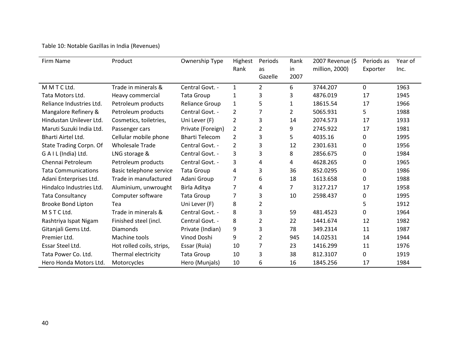Table 10: Notable Gazillas in India (Revenues)

| Firm Name                  | Product                   | Ownership Type        | Highest        | Periods        | Rank | 2007 Revenue (\$ | Periods as | Year of |
|----------------------------|---------------------------|-----------------------|----------------|----------------|------|------------------|------------|---------|
|                            |                           |                       | Rank           | as             | in   | million, 2000)   | Exporter   | Inc.    |
|                            |                           |                       |                | Gazelle        | 2007 |                  |            |         |
| MMTCLtd.                   | Trade in minerals &       | Central Govt. -       | $\mathbf{1}$   | $\overline{2}$ | 6    | 3744.207         | $\Omega$   | 1963    |
| Tata Motors Ltd.           | Heavy commercial          | <b>Tata Group</b>     | 1              | 3              | 3    | 4876.019         | 17         | 1945    |
| Reliance Industries Ltd.   | Petroleum products        | <b>Reliance Group</b> | $\mathbf{1}$   | 5              | 1    | 18615.54         | 17         | 1966    |
| Mangalore Refinery &       | Petroleum products        | Central Govt. -       | $\overline{2}$ | 7              | 2    | 5065.931         | 5          | 1988    |
| Hindustan Unilever Ltd.    | Cosmetics, toiletries,    | Uni Lever (F)         | $\overline{2}$ | 3              | 14   | 2074.573         | 17         | 1933    |
| Maruti Suzuki India Ltd.   | Passenger cars            | Private (Foreign)     | $\overline{2}$ | 2              | 9    | 2745.922         | 17         | 1981    |
| Bharti Airtel Ltd.         | Cellular mobile phone     | <b>Bharti Telecom</b> | $\overline{2}$ | 3              | 5    | 4035.16          | 0          | 1995    |
| State Trading Corpn. Of    | <b>Wholesale Trade</b>    | Central Govt. -       | $\overline{2}$ | 3              | 12   | 2301.631         | 0          | 1956    |
| G A I L (India) Ltd.       | LNG storage &             | Central Govt. -       | 3              | 3              | 8    | 2856.675         | 0          | 1984    |
| Chennai Petroleum          | Petroleum products        | Central Govt. -       | 3              | 4              | 4    | 4628.265         | 0          | 1965    |
| <b>Tata Communications</b> | Basic telephone service   | <b>Tata Group</b>     | 4              | 3              | 36   | 852.0295         | 0          | 1986    |
| Adani Enterprises Ltd.     | Trade in manufactured     | Adani Group           | 7              | 6              | 18   | 1613.658         | 0          | 1988    |
| Hindalco Industries Ltd.   | Aluminium, unwrought      | Birla Aditya          | $\overline{7}$ | 4              | 7    | 3127.217         | 17         | 1958    |
| <b>Tata Consultancy</b>    | Computer software         | Tata Group            | 7              | 3              | 10   | 2598.437         | 0          | 1995    |
| <b>Brooke Bond Lipton</b>  | Tea                       | Uni Lever (F)         | 8              | $\overline{2}$ |      |                  | 5          | 1912    |
| M S T C Ltd.               | Trade in minerals &       | Central Govt. -       | 8              | 3              | 59   | 481.4523         | 0          | 1964    |
| Rashtriya Ispat Nigam      | Finished steel (incl.     | Central Govt. -       | 8              | $\overline{2}$ | 22   | 1441.674         | 12         | 1982    |
| Gitanjali Gems Ltd.        | Diamonds                  | Private (Indian)      | 9              | 3              | 78   | 349.2314         | 11         | 1987    |
| Premier Ltd.               | Machine tools             | Vinod Doshi           | 9              | $\overline{2}$ | 945  | 14.02531         | 14         | 1944    |
| Essar Steel Ltd.           | Hot rolled coils, strips, | Essar (Ruia)          | 10             | 7              | 23   | 1416.299         | 11         | 1976    |
| Tata Power Co. Ltd.        | Thermal electricity       | <b>Tata Group</b>     | 10             | 3              | 38   | 812.3107         | 0          | 1919    |
| Hero Honda Motors Ltd.     | Motorcycles               | Hero (Munjals)        | 10             | 6              | 16   | 1845.256         | 17         | 1984    |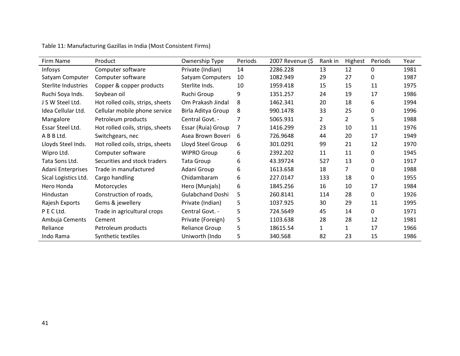| Firm Name            | Product                          | Ownership Type          | Periods | 2007 Revenue (\$ | Rank in        | Highest      | Periods  | Year |
|----------------------|----------------------------------|-------------------------|---------|------------------|----------------|--------------|----------|------|
| Infosys              | Computer software                | Private (Indian)        | 14      | 2286.228         | 13             | 12           | $\Omega$ | 1981 |
| Satyam Computer      | Computer software                | Satyam Computers        | 10      | 1082.949         | 29             | 27           | 0        | 1987 |
| Sterlite Industries  | Copper & copper products         | Sterlite Inds.          | 10      | 1959.418         | 15             | 15           | 11       | 1975 |
| Ruchi Soya Inds.     | Soybean oil                      | Ruchi Group             | 9       | 1351.257         | 24             | 19           | 17       | 1986 |
| J S W Steel Ltd.     | Hot rolled coils, strips, sheets | Om Prakash Jindal       | 8       | 1462.341         | 20             | 18           | 6        | 1994 |
| Idea Cellular Ltd.   | Cellular mobile phone service    | Birla Aditya Group      | 8       | 990.1478         | 33             | 25           | 0        | 1996 |
| Mangalore            | Petroleum products               | Central Govt. -         | 7       | 5065.931         | $\overline{2}$ | $\mathbf{2}$ | 5        | 1988 |
| Essar Steel Ltd.     | Hot rolled coils, strips, sheets | Essar (Ruia) Group      | 7       | 1416.299         | 23             | 10           | 11       | 1976 |
| A B B Ltd.           | Switchgears, nec                 | Asea Brown Boveri       | 6       | 726.9648         | 44             | 20           | 17       | 1949 |
| Lloyds Steel Inds.   | Hot rolled coils, strips, sheets | Lloyd Steel Group       | 6       | 301.0291         | 99             | 21           | 12       | 1970 |
| Wipro Ltd.           | Computer software                | <b>WIPRO Group</b>      | 6       | 2392.202         | 11             | 11           | $\Omega$ | 1945 |
| Tata Sons Ltd.       | Securities and stock traders     | Tata Group              | 6       | 43.39724         | 527            | 13           | 0        | 1917 |
| Adani Enterprises    | Trade in manufactured            | Adani Group             | 6       | 1613.658         | 18             | 7            | 0        | 1988 |
| Sical Logistics Ltd. | Cargo handling                   | Chidambaram             | 6       | 227.0147         | 133            | 18           | $\Omega$ | 1955 |
| Hero Honda           | Motorcycles                      | Hero (Munjals)          | 6       | 1845.256         | 16             | 10           | 17       | 1984 |
| Hindustan            | Construction of roads,           | <b>Gulabchand Doshi</b> | 5       | 260.8141         | 114            | 28           | 0        | 1926 |
| Rajesh Exports       | Gems & jewellery                 | Private (Indian)        | 5       | 1037.925         | 30             | 29           | 11       | 1995 |
| P E C Ltd.           | Trade in agricultural crops      | Central Govt. -         | 5       | 724.5649         | 45             | 14           | 0        | 1971 |
| Ambuja Cements       | Cement                           | Private (Foreign)       | 5       | 1103.638         | 28             | 28           | 12       | 1981 |
| Reliance             | Petroleum products               | <b>Reliance Group</b>   | 5       | 18615.54         | $\mathbf{1}$   | $\mathbf{1}$ | 17       | 1966 |
| Indo Rama            | Synthetic textiles               | Uniworth (Indo          | 5       | 340.568          | 82             | 23           | 15       | 1986 |

Table 11: Manufacturing Gazillas in India (Most Consistent Firms)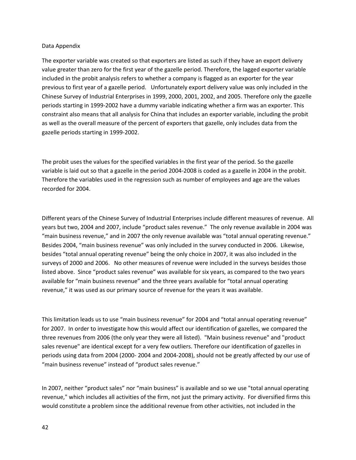### Data Appendix

The exporter variable was created so that exporters are listed as such if they have an export delivery value greater than zero for the first year of the gazelle period. Therefore, the lagged exporter variable included in the probit analysis refers to whether a company is flagged as an exporter for the year previous to first year of a gazelle period. Unfortunately export delivery value was only included in the Chinese Survey of Industrial Enterprises in 1999, 2000, 2001, 2002, and 2005. Therefore only the gazelle periods starting in 1999-2002 have a dummy variable indicating whether a firm was an exporter. This constraint also means that all analysis for China that includes an exporter variable, including the probit as well as the overall measure of the percent of exporters that gazelle, only includes data from the gazelle periods starting in 1999-2002.

The probit uses the values for the specified variables in the first year of the period. So the gazelle variable is laid out so that a gazelle in the period 2004-2008 is coded as a gazelle in 2004 in the probit. Therefore the variables used in the regression such as number of employees and age are the values recorded for 2004.

Different years of the Chinese Survey of Industrial Enterprises include different measures of revenue. All years but two, 2004 and 2007, include "product sales revenue." The only revenue available in 2004 was "main business revenue," and in 2007 the only revenue available was "total annual operating revenue." Besides 2004, "main business revenue" was only included in the survey conducted in 2006. Likewise, besides "total annual operating revenue" being the only choice in 2007, it was also included in the surveys of 2000 and 2006. No other measures of revenue were included in the surveys besides those listed above. Since "product sales revenue" was available for six years, as compared to the two years available for "main business revenue" and the three years available for "total annual operating revenue," it was used as our primary source of revenue for the years it was available.

This limitation leads us to use "main business revenue" for 2004 and "total annual operating revenue" for 2007. In order to investigate how this would affect our identification of gazelles, we compared the three revenues from 2006 (the only year they were all listed). "Main business revenue" and "product sales revenue" are identical except for a very few outliers. Therefore our identification of gazelles in periods using data from 2004 (2000- 2004 and 2004-2008), should not be greatly affected by our use of "main business revenue" instead of "product sales revenue."

In 2007, neither "product sales" nor "main business" is available and so we use "total annual operating revenue," which includes all activities of the firm, not just the primary activity. For diversified firms this would constitute a problem since the additional revenue from other activities, not included in the